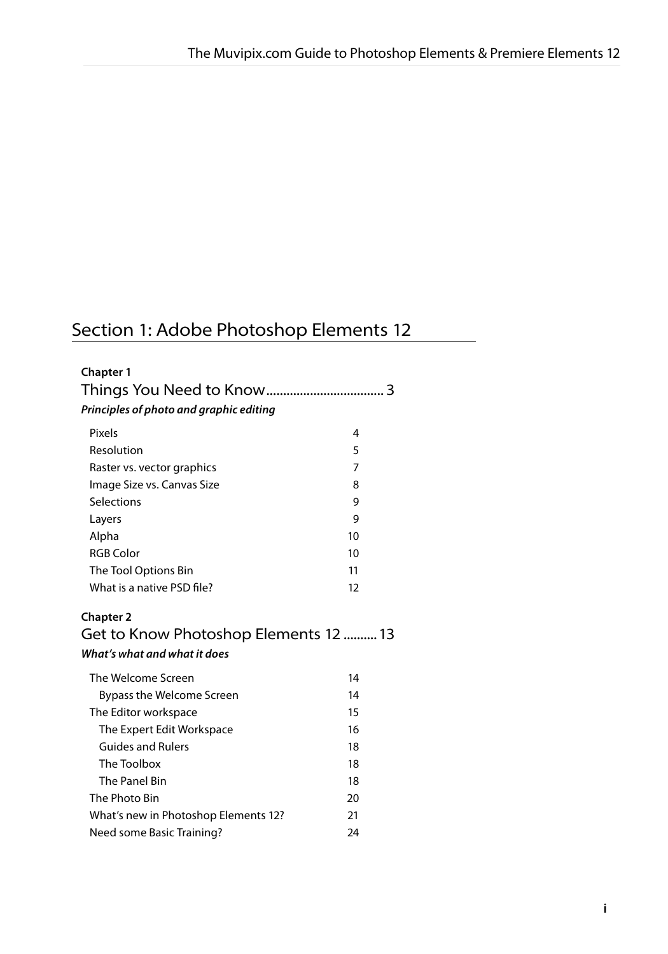# Section 1: Adobe Photoshop Elements 12

| <b>Chapter 1</b>                                                                         |                |
|------------------------------------------------------------------------------------------|----------------|
| Principles of photo and graphic editing                                                  | 3              |
| Pixels                                                                                   | 4              |
| Resolution                                                                               | 5              |
| Raster vs. vector graphics                                                               | $\overline{7}$ |
| Image Size vs. Canvas Size                                                               | 8              |
| Selections                                                                               | 9              |
| Layers                                                                                   | 9              |
| Alpha                                                                                    | 10             |
| <b>RGB Color</b>                                                                         | 10             |
| The Tool Options Bin                                                                     | 11             |
| What is a native PSD file?                                                               | 12             |
| <b>Chapter 2</b><br>Get to Know Photoshop Elements 12 13<br>What's what and what it does |                |
| The Welcome Screen                                                                       | 14             |
| <b>Bypass the Welcome Screen</b>                                                         | 14             |
| The Editor workspace                                                                     | 15             |
| The Expert Edit Workspace                                                                | 16             |
| <b>Guides and Rulers</b>                                                                 | 18             |
| The Toolbox                                                                              | 18             |
| The Panel Bin                                                                            | 18             |
| The Photo Bin                                                                            | 20             |
| What's new in Photoshop Elements 12?                                                     | 21             |
| Need some Basic Training?                                                                | 24             |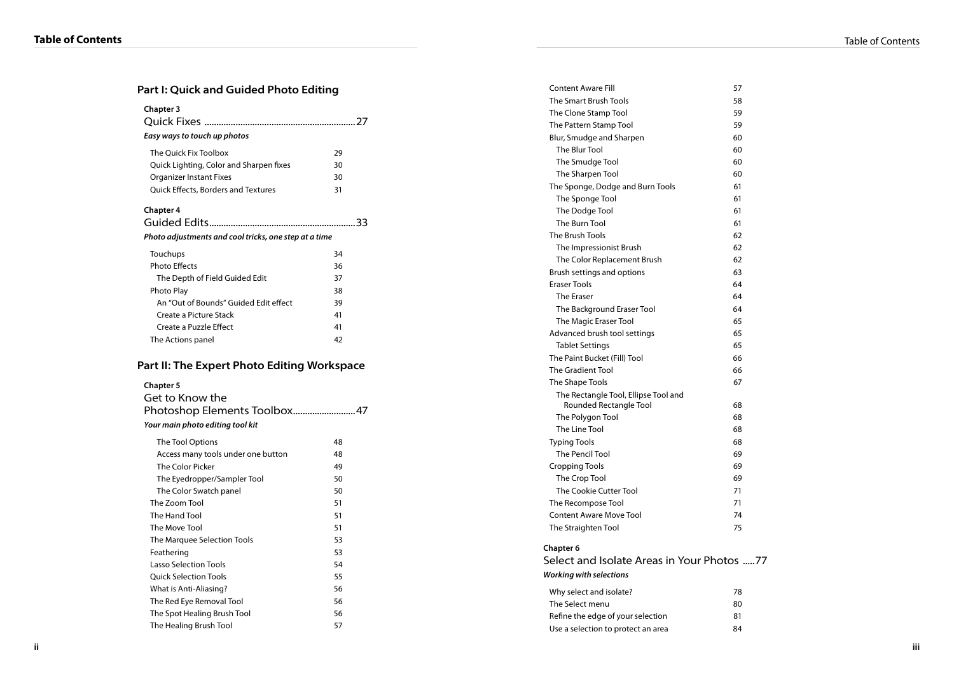## **Part I: Quick and Guided Photo Editing**

| <b>Chapter 3</b><br>Easy ways to touch up photos |    |
|--------------------------------------------------|----|
| The Ouick Fix Toolbox                            | 29 |
| Quick Lighting, Color and Sharpen fixes          | 30 |
| <b>Organizer Instant Fixes</b>                   | 30 |
| <b>Ouick Effects, Borders and Textures</b>       | 31 |
| Chanter 4                                        |    |

#### **Chapter 4**

## Guided Edits.............................................................33 **Photo adjustments and cool tricks, one step at a time**

| Touchups                              | 34 |
|---------------------------------------|----|
| <b>Photo Effects</b>                  | 36 |
| The Depth of Field Guided Edit        | 37 |
| Photo Play                            | 38 |
| An "Out of Bounds" Guided Edit effect | 39 |
| Create a Picture Stack                | 41 |
| Create a Puzzle Effect                | 41 |
| The Actions panel                     | 42 |

## **Part II: The Expert Photo Editing Workspace**

#### **Chapter 5**

| Get to Know the<br>Photoshop Elements Toolbox47<br>Your main photo editing tool kit |    |
|-------------------------------------------------------------------------------------|----|
| The Tool Options                                                                    | 48 |
| Access many tools under one button                                                  | 48 |
| The Color Picker                                                                    | 49 |
| The Eyedropper/Sampler Tool                                                         | 50 |
| The Color Swatch panel                                                              | 50 |
| The Zoom Tool                                                                       | 51 |
| The Hand Tool                                                                       | 51 |
| The Move Tool                                                                       | 51 |
| The Marquee Selection Tools                                                         | 53 |
| Feathering                                                                          | 53 |
| Lasso Selection Tools                                                               | 54 |
| <b>Ouick Selection Tools</b>                                                        | 55 |
| What is Anti-Aliasing?                                                              | 56 |
| The Red Eye Removal Tool                                                            | 56 |
| The Spot Healing Brush Tool                                                         | 56 |
| The Healing Brush Tool                                                              | 57 |

| <b>Content Aware Fill</b>                  | 57 |
|--------------------------------------------|----|
| The Smart Brush Tools                      | 58 |
| The Clone Stamp Tool                       | 59 |
| The Pattern Stamp Tool                     | 59 |
| Blur, Smudge and Sharpen                   | 60 |
| The Blur Tool                              | 60 |
| The Smudge Tool                            | 60 |
| The Sharpen Tool                           | 60 |
| The Sponge, Dodge and Burn Tools           | 61 |
| The Sponge Tool                            | 61 |
| The Dodge Tool                             | 61 |
| The Burn Tool                              | 61 |
| The Brush Tools                            | 62 |
| The Impressionist Brush                    | 62 |
| The Color Replacement Brush                | 62 |
| Brush settings and options                 | 63 |
| <b>Eraser Tools</b>                        | 64 |
| <b>The Fraser</b>                          | 64 |
| The Background Eraser Tool                 | 64 |
| The Magic Eraser Tool                      | 65 |
| Advanced brush tool settings               | 65 |
| <b>Tablet Settings</b>                     | 65 |
| The Paint Bucket (Fill) Tool               | 66 |
| <b>The Gradient Tool</b>                   | 66 |
| The Shape Tools                            | 67 |
| The Rectangle Tool, Ellipse Tool and       |    |
| Rounded Rectangle Tool                     | 68 |
| The Polygon Tool                           | 68 |
| The Line Tool                              | 68 |
| <b>Typing Tools</b>                        | 68 |
| The Pencil Tool                            | 69 |
| <b>Cropping Tools</b>                      | 69 |
| The Crop Tool                              | 69 |
| The Cookie Cutter Tool                     | 71 |
| The Recompose Tool                         | 71 |
| <b>Content Aware Move Tool</b>             | 74 |
| The Straighten Tool                        | 75 |
| Chapter 6                                  |    |
| Select and Isolate Areas in Your Photos 77 |    |
| <b>Working with selections</b>             |    |
| Why select and isolate?                    | 78 |
| The Select menu                            | 80 |
| Refine the edge of your selection          | 81 |
|                                            |    |

Use a selection to protect an area 64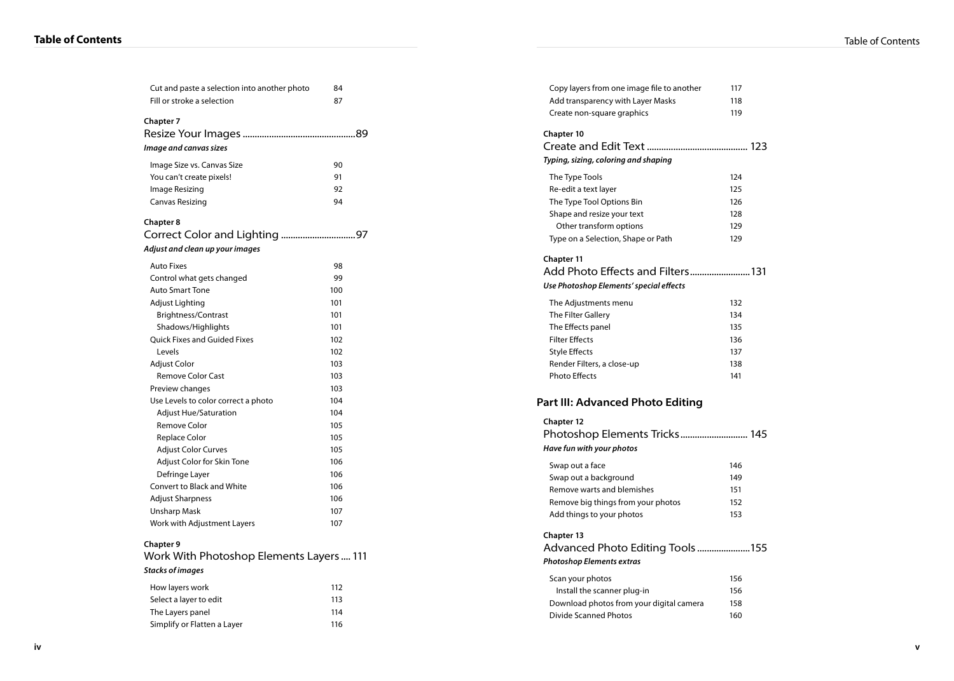| <b>Table of Contents</b> |  |
|--------------------------|--|
|--------------------------|--|

| Cut and paste a selection into another photo                | 84  |  |
|-------------------------------------------------------------|-----|--|
| Fill or stroke a selection                                  | 87  |  |
|                                                             |     |  |
| <b>Chapter 7</b>                                            |     |  |
|                                                             |     |  |
| Image and canvas sizes                                      |     |  |
| Image Size vs. Canvas Size                                  | 90  |  |
| You can't create pixels!                                    | 91  |  |
| Image Resizing                                              | 92  |  |
| <b>Canvas Resizing</b>                                      | 94  |  |
|                                                             |     |  |
| <b>Chapter 8</b>                                            |     |  |
|                                                             |     |  |
| Adjust and clean up your images                             |     |  |
| <b>Auto Fixes</b>                                           | 98  |  |
| Control what gets changed                                   | 99  |  |
| <b>Auto Smart Tone</b>                                      | 100 |  |
| Adjust Lighting                                             | 101 |  |
| Brightness/Contrast                                         | 101 |  |
| Shadows/Highlights                                          | 101 |  |
| <b>Ouick Fixes and Guided Fixes</b>                         | 102 |  |
| Levels                                                      | 102 |  |
| Adjust Color                                                | 103 |  |
| <b>Remove Color Cast</b>                                    | 103 |  |
| Preview changes                                             | 103 |  |
| Use Levels to color correct a photo                         | 104 |  |
| <b>Adjust Hue/Saturation</b>                                | 104 |  |
| Remove Color                                                | 105 |  |
| Replace Color                                               | 105 |  |
| <b>Adjust Color Curves</b>                                  | 105 |  |
| Adjust Color for Skin Tone                                  | 106 |  |
| Defringe Layer                                              | 106 |  |
| <b>Convert to Black and White</b>                           | 106 |  |
| <b>Adjust Sharpness</b>                                     | 106 |  |
| Unsharp Mask                                                | 107 |  |
| Work with Adjustment Layers                                 | 107 |  |
|                                                             |     |  |
| <b>Chapter 9</b><br>Work With Photoshop Elements Layers 111 |     |  |
| <b>Stacks of images</b>                                     |     |  |
|                                                             |     |  |
| How layers work                                             | 112 |  |
| Select a layer to edit                                      | 113 |  |
| The Layers panel                                            | 114 |  |
| Simplify or Flatten a Layer                                 | 116 |  |

| Copy layers from one image file to another | 117 |
|--------------------------------------------|-----|
| Add transparency with Layer Masks          | 118 |
| Create non-square graphics                 | 119 |
| <b>Chapter 10</b>                          |     |
|                                            |     |
| Typing, sizing, coloring and shaping       |     |
| The Type Tools                             | 124 |
| Re-edit a text layer                       | 125 |
| The Type Tool Options Bin                  | 126 |
| Shape and resize your text                 | 128 |
| Other transform options                    | 129 |
| Type on a Selection, Shape or Path         | 129 |
| <b>Chapter 11</b>                          |     |
| Add Photo Effects and Filters 131          |     |
| Use Photoshop Elements' special effects    |     |
| The Adjustments menu                       | 132 |
| The Filter Gallery                         | 134 |
| The Effects panel                          | 135 |
| <b>Filter Effects</b>                      | 136 |
| <b>Style Effects</b>                       | 137 |
| Render Filters, a close-up                 | 138 |
| <b>Photo Effects</b>                       | 141 |
| <b>Part III: Advanced Photo Editing</b>    |     |
| <b>Chapter 12</b>                          |     |
| Photoshop Elements Tricks 145              |     |
| Have fun with your photos                  |     |
| Swap out a face                            | 146 |
| Swap out a background                      | 149 |
| Remove warts and blemishes                 | 151 |
| Remove big things from your photos         | 152 |
| Add things to your photos                  | 153 |
| Chapter 13                                 |     |
| Advanced Photo Editing Tools 155           |     |
| <b>Photoshop Elements extras</b>           |     |
| Scan your photos                           | 156 |
| Install the scanner plug-in                | 156 |
| Download photos from your digital camera   | 158 |
| <b>Divide Scanned Photos</b>               | 160 |
|                                            |     |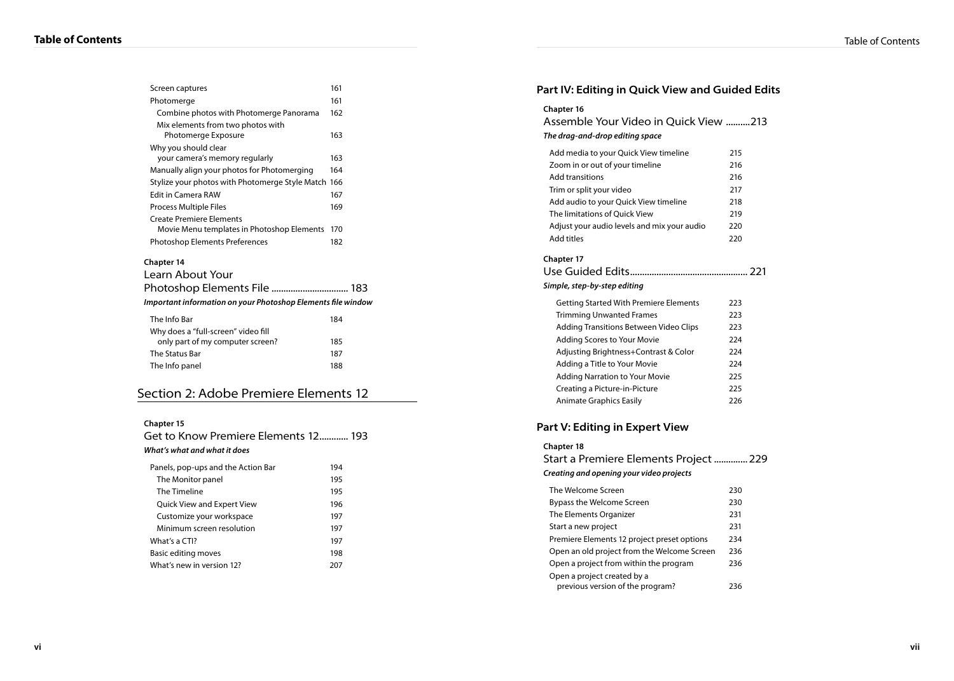| Screen captures                                              | 161 |
|--------------------------------------------------------------|-----|
| Photomerge                                                   | 161 |
| Combine photos with Photomerge Panorama                      | 162 |
| Mix elements from two photos with                            |     |
| Photomerge Exposure                                          | 163 |
| Why you should clear                                         |     |
| your camera's memory regularly                               | 163 |
| Manually align your photos for Photomerging                  | 164 |
| Stylize your photos with Photomerge Style Match 166          |     |
| <b>Edit in Camera RAW</b>                                    | 167 |
| <b>Process Multiple Files</b>                                | 169 |
| <b>Create Premiere Elements</b>                              |     |
| Movie Menu templates in Photoshop Elements                   | 170 |
| <b>Photoshop Elements Preferences</b>                        | 182 |
| Chapter 14                                                   |     |
| Learn About Your                                             |     |
| Photoshop Elements File  183                                 |     |
| Important information on your Photoshop Elements file window |     |
|                                                              |     |
| The Info Bar                                                 | 184 |
| Why does a "full-screen" video fill                          |     |
| only part of my computer screen?                             | 185 |
| The Status Bar                                               | 187 |
| The Info panel                                               | 188 |

## Section 2: Adobe Premiere Elements 12

#### **Chapter 15**

Get to Know Premiere Elements 12............ 193 **What's what and what it does**

| Panels, pop-ups and the Action Bar | 194 |
|------------------------------------|-----|
| The Monitor panel                  | 195 |
| The Timeline                       | 195 |
| <b>Quick View and Expert View</b>  | 196 |
| Customize your workspace           | 197 |
| Minimum screen resolution          | 197 |
| What's a CTI?                      | 197 |
| Basic editing moves                | 198 |
| What's new in version 12?          | 207 |

| Part IV: Editing in Quick View and Guided Edits                                                                                                                                                                                                                                                                                                       |                                                             |  |
|-------------------------------------------------------------------------------------------------------------------------------------------------------------------------------------------------------------------------------------------------------------------------------------------------------------------------------------------------------|-------------------------------------------------------------|--|
| Chapter 16<br>Assemble Your Video in Quick View 213<br>The drag-and-drop editing space                                                                                                                                                                                                                                                                |                                                             |  |
| Add media to your Quick View timeline<br>Zoom in or out of your timeline<br><b>Add transitions</b><br>Trim or split your video<br>Add audio to your Quick View timeline<br>The limitations of Quick View<br>Adjust your audio levels and mix your audio<br>Add titles                                                                                 | 215<br>216<br>216<br>217<br>218<br>219<br>220<br>220        |  |
| <b>Chapter 17</b><br>Simple, step-by-step editing                                                                                                                                                                                                                                                                                                     |                                                             |  |
| <b>Getting Started With Premiere Elements</b><br><b>Trimming Unwanted Frames</b><br><b>Adding Transitions Between Video Clips</b><br>Adding Scores to Your Movie<br>Adjusting Brightness+Contrast & Color<br>Adding a Title to Your Movie<br><b>Adding Narration to Your Movie</b><br>Creating a Picture-in-Picture<br><b>Animate Graphics Easily</b> | 223<br>223<br>223<br>224<br>224<br>224<br>225<br>225<br>226 |  |
| Part V: Editing in Expert View<br><b>Chapter 18</b><br>Start a Premiere Elements Project  229<br>Creating and opening your video projects                                                                                                                                                                                                             |                                                             |  |
| The Welcome Screen<br>Bypass the Welcome Screen<br>The Elements Organizer<br>Start a new project<br>Premiere Elements 12 project preset options<br>Open an old project from the Welcome Screen                                                                                                                                                        | 230<br>230<br>231<br>231<br>234<br>236                      |  |

Open a project from within the program 236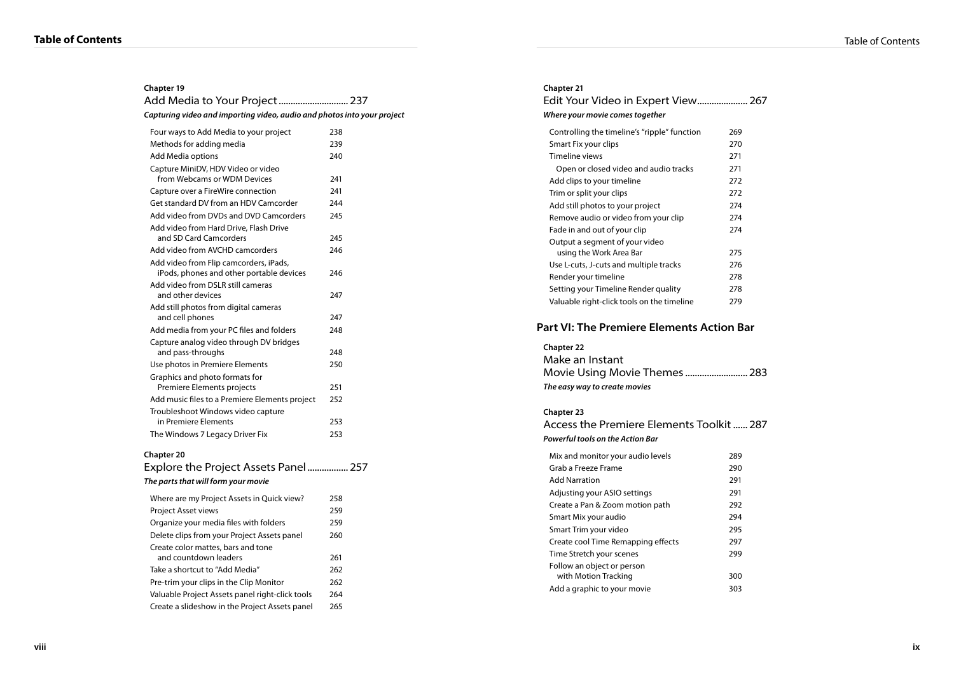| <b>Chapter 19</b>                                                       |     |
|-------------------------------------------------------------------------|-----|
|                                                                         |     |
| Capturing video and importing video, audio and photos into your project |     |
| Four ways to Add Media to your project                                  | 238 |
| Methods for adding media                                                | 239 |
| Add Media options                                                       | 240 |
| Capture MiniDV, HDV Video or video<br>from Webcams or WDM Devices       | 241 |
| Capture over a FireWire connection                                      | 241 |
| Get standard DV from an HDV Camcorder                                   | 244 |
| Add video from DVDs and DVD Camcorders                                  | 245 |
| Add video from Hard Drive, Flash Drive<br>and SD Card Camcorders        | 245 |
| Add video from AVCHD camcorders                                         | 246 |
| Add video from Flip camcorders, iPads,                                  |     |
| iPods, phones and other portable devices                                | 246 |
| Add video from DSLR still cameras                                       |     |
| and other devices                                                       | 247 |
| Add still photos from digital cameras<br>and cell phones                | 247 |
| Add media from your PC files and folders                                | 248 |
| Capture analog video through DV bridges                                 |     |
| and pass-throughs                                                       | 248 |
| Use photos in Premiere Elements                                         | 250 |
| Graphics and photo formats for                                          |     |
| Premiere Elements projects                                              | 251 |
| Add music files to a Premiere Elements project                          | 252 |
| Troubleshoot Windows video capture                                      |     |
| in Premiere Elements                                                    | 253 |
| The Windows 7 Legacy Driver Fix                                         | 253 |
| <b>Chapter 20</b>                                                       |     |
| Explore the Project Assets Panel 257                                    |     |

| The parts that will form your movie                         |     |
|-------------------------------------------------------------|-----|
| Where are my Project Assets in Quick view?                  | 258 |
| <b>Project Asset views</b>                                  | 259 |
| Organize your media files with folders                      | 259 |
| Delete clips from your Project Assets panel                 | 260 |
| Create color mattes, bars and tone<br>and countdown leaders | 261 |
| Take a shortcut to "Add Media"                              | 262 |
| Pre-trim your clips in the Clip Monitor                     | 262 |
| Valuable Project Assets panel right-click tools             | 264 |
| Create a slideshow in the Project Assets panel              | 265 |
|                                                             |     |

| <b>Chapter 21</b><br>Where your movie comes together |     |
|------------------------------------------------------|-----|
| Controlling the timeline's "ripple" function         | 269 |
| Smart Fix your clips                                 | 270 |
| Timeline views                                       | 271 |
| Open or closed video and audio tracks                | 271 |
| Add clips to your timeline                           | 272 |
| Trim or split your clips                             | 272 |
| Add still photos to your project                     | 274 |
| Remove audio or video from your clip                 | 274 |
| Fade in and out of your clip                         | 274 |
| Output a segment of your video                       |     |
| using the Work Area Bar                              | 275 |
| Use L-cuts, J-cuts and multiple tracks               | 276 |
| Render your timeline                                 | 278 |
| Setting your Timeline Render quality                 | 278 |
| Valuable right-click tools on the timeline           | 279 |

## **Part VI: The Premiere Elements Action Bar**

#### **Chapter 22** Make an Instant

| Make an Instant               |  |
|-------------------------------|--|
| Movie Using Movie Themes  283 |  |
| The easy way to create movies |  |

#### **Chapter 23**

Access the Premiere Elements Toolkit...... 287 **Powerful tools on the Action Bar** Mix and monitor your audio levels 289 Grab a Freeze Frame **290** Add Narration 291<br>Adjusting your ASIO settings 201 Adjusting your ASIO settin

| Adjusting your ASIO settings       | 291 |
|------------------------------------|-----|
| Create a Pan & Zoom motion path    | 292 |
| Smart Mix your audio               | 294 |
| Smart Trim your video              | 295 |
| Create cool Time Remapping effects | 297 |
| Time Stretch your scenes           | 299 |
| Follow an object or person         |     |
| with Motion Tracking               | 300 |
| Add a graphic to your movie        | 303 |
|                                    |     |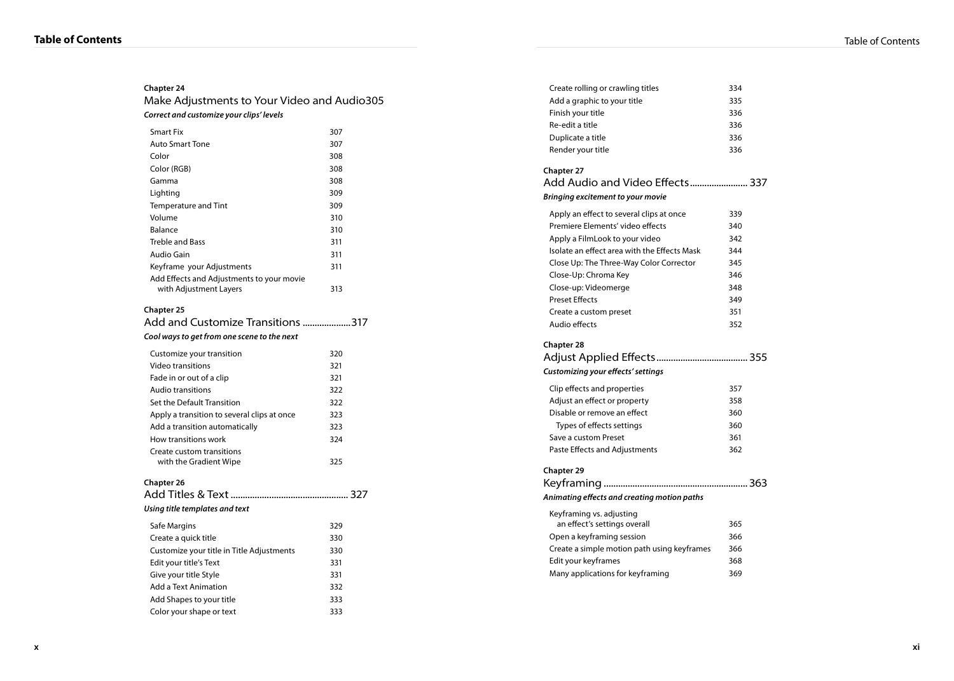| Correct and customize your clips' levels                            |     |  |
|---------------------------------------------------------------------|-----|--|
| <b>Smart Fix</b>                                                    | 307 |  |
| <b>Auto Smart Tone</b>                                              | 307 |  |
| Color                                                               | 308 |  |
| Color (RGB)                                                         | 308 |  |
| Gamma                                                               | 308 |  |
| Lighting                                                            | 309 |  |
| Temperature and Tint                                                | 309 |  |
| Volume                                                              | 310 |  |
| Balance                                                             | 310 |  |
| <b>Treble and Bass</b>                                              | 311 |  |
| Audio Gain                                                          | 311 |  |
| Keyframe your Adjustments                                           | 311 |  |
| Add Effects and Adjustments to your movie<br>with Adjustment Layers | 313 |  |
| Cool ways to get from one scene to the next                         |     |  |
| Customize your transition                                           | 320 |  |
| Video transitions                                                   | 321 |  |
| Fade in or out of a clip                                            | 321 |  |
| Audio transitions                                                   | 322 |  |
| Set the Default Transition                                          | 322 |  |
| Apply a transition to several clips at once                         | 323 |  |
| Add a transition automatically                                      | 323 |  |
| How transitions work                                                | 324 |  |
| Create custom transitions<br>with the Gradient Wipe                 | 325 |  |
| Chapter 26                                                          |     |  |
|                                                                     |     |  |
| Using title templates and text                                      |     |  |
| Safe Margins                                                        | 329 |  |
| Create a quick title                                                | 330 |  |
| Customize your title in Title Adjustments                           | 330 |  |
| Edit your title's Text                                              | 331 |  |
| Give your title Style                                               | 331 |  |
| <b>Add a Text Animation</b>                                         | 332 |  |
| Add Shapes to your title                                            | 333 |  |
| Color your shape or text                                            | 333 |  |

| Create rolling or crawling titles                           | 334 |
|-------------------------------------------------------------|-----|
| Add a graphic to your title                                 | 335 |
| Finish your title                                           | 336 |
| Re-edit a title                                             | 336 |
| Duplicate a title                                           | 336 |
| Render your title                                           | 336 |
|                                                             |     |
| <b>Chapter 27</b>                                           |     |
| Add Audio and Video Effects 337                             |     |
| Bringing excitement to your movie                           |     |
| Apply an effect to several clips at once                    | 339 |
| Premiere Elements' video effects                            | 340 |
| Apply a FilmLook to your video                              | 342 |
| Isolate an effect area with the Effects Mask                | 344 |
| Close Up: The Three-Way Color Corrector                     | 345 |
| Close-Up: Chroma Key                                        | 346 |
| Close-up: Videomerge                                        | 348 |
| <b>Preset Effects</b>                                       | 349 |
| Create a custom preset                                      | 351 |
| Audio effects                                               | 352 |
|                                                             |     |
| <b>Chapter 28</b><br>Customizing your effects' settings     |     |
|                                                             | 357 |
| Clip effects and properties                                 | 358 |
| Adjust an effect or property<br>Disable or remove an effect | 360 |
| Types of effects settings                                   | 360 |
| Save a custom Preset                                        | 361 |
| Paste Effects and Adjustments                               | 362 |
| <b>Chapter 29</b>                                           |     |
| Animating effects and creating motion paths                 |     |
|                                                             |     |
| Keyframing vs. adjusting<br>an effect's settings overall    | 365 |
| Open a keyframing session                                   | 366 |
| Create a simple motion path using keyframes                 | 366 |
| Edit your keyframes                                         | 368 |
| Many applications for keyframing                            | 369 |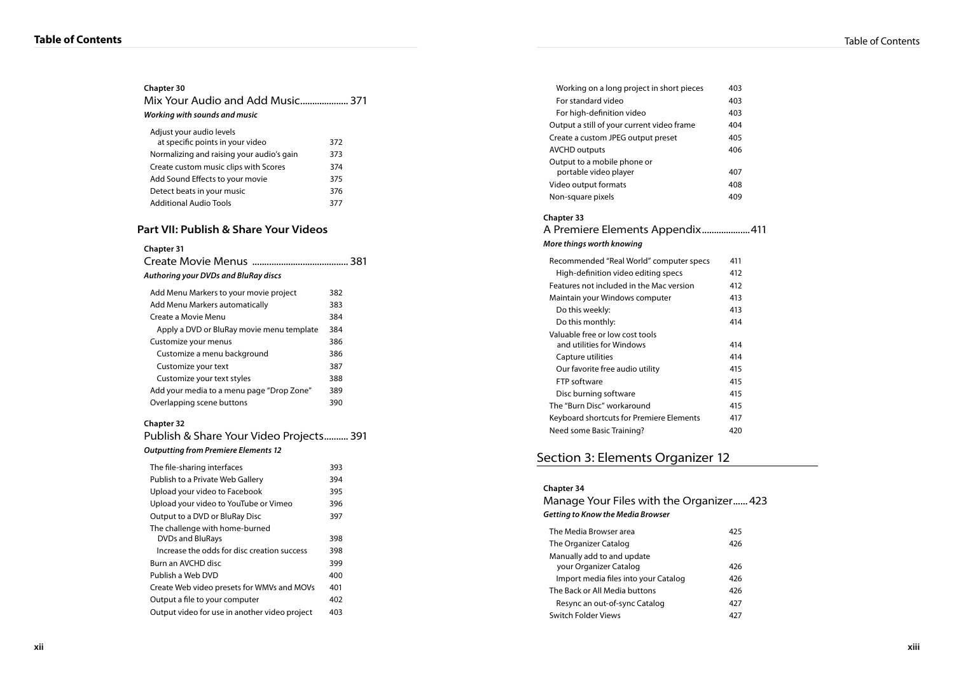| Chapter 30<br>Mix Your Audio and Add Music 371<br>Working with sounds and music |     |
|---------------------------------------------------------------------------------|-----|
| Adjust your audio levels<br>at specific points in your video                    | 372 |
| Normalizing and raising your audio's gain                                       | 373 |
| Create custom music clips with Scores                                           | 374 |
| Add Sound Effects to your movie                                                 | 375 |
| Detect beats in your music                                                      | 376 |
| <b>Additional Audio Tools</b>                                                   | 377 |

#### **Part VII: Publish & Share Your Videos**

| <b>Chapter 31</b><br>Authoring your DVDs and BluRay discs |     |
|-----------------------------------------------------------|-----|
| Add Menu Markers to your movie project                    | 382 |
| Add Menu Markers automatically                            | 383 |
| Create a Movie Menu                                       | 384 |
| Apply a DVD or BluRay movie menu template                 | 384 |
| Customize your menus                                      | 386 |
| Customize a menu background                               | 386 |
| Customize your text                                       | 387 |
| Customize your text styles                                | 388 |
| Add your media to a menu page "Drop Zone"                 | 389 |
| Overlapping scene buttons                                 | 390 |

#### **Chapter 32**

Publish & Share Your Video Projects.......... 391 **Outputting from Premiere Elements 12**

|                                               | 393 |
|-----------------------------------------------|-----|
| The file-sharing interfaces                   |     |
| Publish to a Private Web Gallery              | 394 |
| Upload your video to Facebook                 | 395 |
| Upload your video to YouTube or Vimeo         | 396 |
| Output to a DVD or BluRay Disc                | 397 |
| The challenge with home-burned                |     |
| <b>DVDs and BluRays</b>                       | 398 |
| Increase the odds for disc creation success   | 398 |
| Burn an AVCHD disc                            | 399 |
| Publish a Web DVD                             | 400 |
| Create Web video presets for WMVs and MOVs    | 401 |
| Output a file to your computer                | 402 |
| Output video for use in another video project | 403 |
|                                               |     |

| Working on a long project in short pieces                                         | 403 |
|-----------------------------------------------------------------------------------|-----|
| For standard video                                                                | 403 |
| For high-definition video                                                         | 403 |
| Output a still of your current video frame                                        | 404 |
| Create a custom JPEG output preset                                                | 405 |
| <b>AVCHD outputs</b>                                                              | 406 |
| Output to a mobile phone or                                                       |     |
| portable video player                                                             | 407 |
| Video output formats                                                              | 408 |
| Non-square pixels                                                                 | 409 |
| <b>Chapter 33</b><br>A Premiere Elements Appendix411<br>More things worth knowing |     |
|                                                                                   | 411 |
| Recommended "Real World" computer specs                                           |     |
| High-definition video editing specs                                               | 412 |
| Features not included in the Mac version                                          | 412 |
| Maintain your Windows computer                                                    | 413 |
| Do this weekly:                                                                   | 413 |
| Do this monthly:                                                                  | 414 |
| Valuable free or low cost tools                                                   |     |
| and utilities for Windows                                                         | 414 |
| Capture utilities                                                                 | 414 |
| Our favorite free audio utility                                                   | 415 |
| FTP software                                                                      | 415 |
| Disc burning software                                                             | 415 |
| The "Burn Disc" workaround                                                        | 415 |
| Keyboard shortcuts for Premiere Elements                                          | 417 |

# Section 3: Elements Organizer 12

| <b>Chapter 34</b><br>Manage Your Files with the Organizer 423<br>Getting to Know the Media Browser |     |
|----------------------------------------------------------------------------------------------------|-----|
| The Media Browser area                                                                             | 425 |
| The Organizer Catalog                                                                              | 426 |
| Manually add to and update<br>your Organizer Catalog                                               | 426 |
| Import media files into your Catalog                                                               | 426 |
| The Back or All Media buttons                                                                      | 426 |
| Resync an out-of-sync Catalog                                                                      | 427 |
| Switch Folder Views                                                                                | 477 |
|                                                                                                    |     |